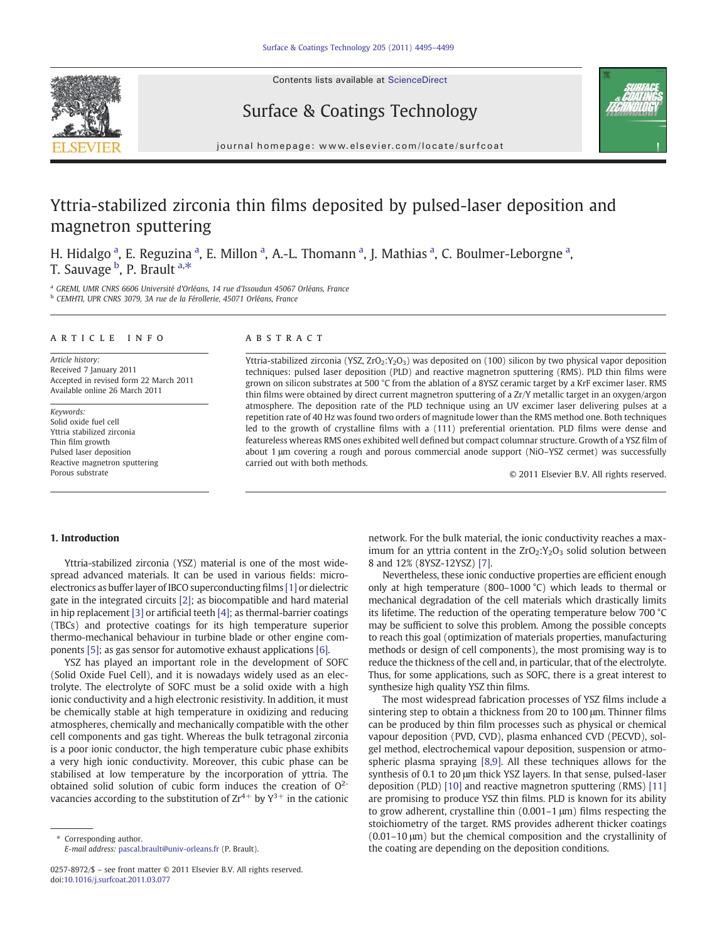Contents lists available at ScienceDirect







journal homepage: www.elsevier.com/locate/surfcoat

# Yttria-stabilized zirconia thin films deposited by pulsed-laser deposition and magnetron sputtering

H. Hidalgo<sup>a</sup>, E. Reguzina<sup>a</sup>, E. Millon<sup>a</sup>, A.-L. Thomann<sup>a</sup>, J. Mathias<sup>a</sup>, C. Boulmer-Leborgne<sup>a</sup>, T. Sauvage <sup>b</sup>, P. Brault <sup>a,\*</sup>

<sup>a</sup> GREMI, UMR CNRS 6606 Université d'Orléans, 14 rue d'Issoudun 45067 Orléans, France <sup>b</sup> CEMHTI, UPR CNRS 3079, 3A rue de la Férollerie, 45071 Orléans, France

#### article info abstract

Article history: Received 7 January 2011 Accepted in revised form 22 March 2011 Available online 26 March 2011

Keywords: Solid oxide fuel cell Yttria stabilized zirconia Thin film growth Pulsed laser deposition Reactive magnetron sputtering Porous substrate

Yttria-stabilized zirconia (YSZ, ZrO<sub>2</sub>:Y<sub>2</sub>O<sub>3</sub>) was deposited on (100) silicon by two physical vapor deposition techniques: pulsed laser deposition (PLD) and reactive magnetron sputtering (RMS). PLD thin films were grown on silicon substrates at 500 °C from the ablation of a 8YSZ ceramic target by a KrF excimer laser. RMS thin films were obtained by direct current magnetron sputtering of a Zr/Y metallic target in an oxygen/argon atmosphere. The deposition rate of the PLD technique using an UV excimer laser delivering pulses at a repetition rate of 40 Hz was found two orders of magnitude lower than the RMS method one. Both techniques led to the growth of crystalline films with a (111) preferential orientation. PLD films were dense and featureless whereas RMS ones exhibited well defined but compact columnar structure. Growth of a YSZ film of about 1 μm covering a rough and porous commercial anode support (NiO–YSZ cermet) was successfully carried out with both methods.

© 2011 Elsevier B.V. All rights reserved.

## 1. Introduction

Yttria-stabilized zirconia (YSZ) material is one of the most widespread advanced materials. It can be used in various fields: microelectronics as buffer layer of IBCO superconducting films [\[1\]](#page-4-0) or dielectric gate in the integrated circuits [\[2\];](#page-4-0) as biocompatible and hard material in hip replacement [\[3\]](#page-4-0) or artificial teeth [\[4\]](#page-4-0); as thermal-barrier coatings (TBCs) and protective coatings for its high temperature superior thermo-mechanical behaviour in turbine blade or other engine components [\[5\]](#page-4-0); as gas sensor for automotive exhaust applications [\[6\]](http://dx.doi.org/10.1016/j.snb.2010.01.033).

YSZ has played an important role in the development of SOFC (Solid Oxide Fuel Cell), and it is nowadays widely used as an electrolyte. The electrolyte of SOFC must be a solid oxide with a high ionic conductivity and a high electronic resistivity. In addition, it must be chemically stable at high temperature in oxidizing and reducing atmospheres, chemically and mechanically compatible with the other cell components and gas tight. Whereas the bulk tetragonal zirconia is a poor ionic conductor, the high temperature cubic phase exhibits a very high ionic conductivity. Moreover, this cubic phase can be stabilised at low temperature by the incorporation of yttria. The obtained solid solution of cubic form induces the creation of  $O^{2-}$ vacancies according to the substitution of  $Zr^{4+}$  by  $Y^{3+}$  in the cationic network. For the bulk material, the ionic conductivity reaches a maximum for an yttria content in the  $ZrO_2:Y_2O_3$  solid solution between 8 and 12% (8YSZ-12YSZ) [\[7\]](#page-4-0).

Nevertheless, these ionic conductive properties are efficient enough only at high temperature (800–1000 °C) which leads to thermal or mechanical degradation of the cell materials which drastically limits its lifetime. The reduction of the operating temperature below 700 °C may be sufficient to solve this problem. Among the possible concepts to reach this goal (optimization of materials properties, manufacturing methods or design of cell components), the most promising way is to reduce the thickness of the cell and, in particular, that of the electrolyte. Thus, for some applications, such as SOFC, there is a great interest to synthesize high quality YSZ thin films.

The most widespread fabrication processes of YSZ films include a sintering step to obtain a thickness from 20 to 100 μm. Thinner films can be produced by thin film processes such as physical or chemical vapour deposition (PVD, CVD), plasma enhanced CVD (PECVD), solgel method, electrochemical vapour deposition, suspension or atmospheric plasma spraying [\[8,9\]](#page-4-0). All these techniques allows for the synthesis of 0.1 to 20 μm thick YSZ layers. In that sense, pulsed-laser deposition (PLD) [\[10\]](#page-4-0) and reactive magnetron sputtering (RMS) [\[11\]](#page-4-0) are promising to produce YSZ thin films. PLD is known for its ability to grow adherent, crystalline thin (0.001–1 μm) films respecting the stoichiometry of the target. RMS provides adherent thicker coatings (0.01–10 μm) but the chemical composition and the crystallinity of the coating are depending on the deposition conditions.

Corresponding author. E-mail address: [pascal.brault@univ-orleans.fr](mailto:pascal.brault@univ-orleans.fr) (P. Brault).

<sup>0257-8972/\$</sup> – see front matter © 2011 Elsevier B.V. All rights reserved. doi:[10.1016/j.surfcoat.2011.03.077](http://dx.doi.org/10.1016/j.surfcoat.2011.03.077)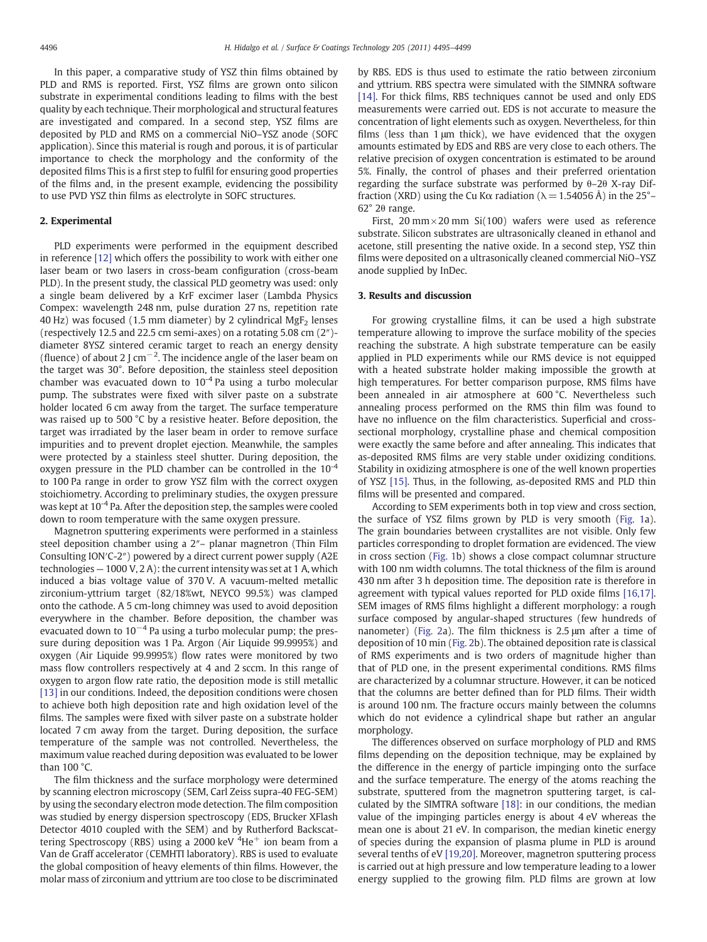<span id="page-1-0"></span>In this paper, a comparative study of YSZ thin films obtained by PLD and RMS is reported. First, YSZ films are grown onto silicon substrate in experimental conditions leading to films with the best quality by each technique. Their morphological and structural features are investigated and compared. In a second step, YSZ films are deposited by PLD and RMS on a commercial NiO–YSZ anode (SOFC application). Since this material is rough and porous, it is of particular importance to check the morphology and the conformity of the deposited films This is a first step to fulfil for ensuring good properties of the films and, in the present example, evidencing the possibility to use PVD YSZ thin films as electrolyte in SOFC structures.

# 2. Experimental

PLD experiments were performed in the equipment described in reference [\[12\]](#page-4-0) which offers the possibility to work with either one laser beam or two lasers in cross-beam configuration (cross-beam PLD). In the present study, the classical PLD geometry was used: only a single beam delivered by a KrF excimer laser (Lambda Physics Compex: wavelength 248 nm, pulse duration 27 ns, repetition rate 40 Hz) was focused  $(1.5 \text{ mm diameter})$  by 2 cylindrical MgF<sub>2</sub> lenses (respectively 12.5 and 22.5 cm semi-axes) on a rotating 5.08 cm (2″) diameter 8YSZ sintered ceramic target to reach an energy density (fluence) of about 2 J cm<sup>-2</sup>. The incidence angle of the laser beam on the target was 30°. Before deposition, the stainless steel deposition chamber was evacuated down to  $10^{-4}$  Pa using a turbo molecular pump. The substrates were fixed with silver paste on a substrate holder located 6 cm away from the target. The surface temperature was raised up to 500 °C by a resistive heater. Before deposition, the target was irradiated by the laser beam in order to remove surface impurities and to prevent droplet ejection. Meanwhile, the samples were protected by a stainless steel shutter. During deposition, the oxygen pressure in the PLD chamber can be controlled in the  $10^{-4}$ to 100 Pa range in order to grow YSZ film with the correct oxygen stoichiometry. According to preliminary studies, the oxygen pressure was kept at  $10^{-4}$  Pa. After the deposition step, the samples were cooled down to room temperature with the same oxygen pressure.

Magnetron sputtering experiments were performed in a stainless steel deposition chamber using a 2″– planar magnetron (Thin Film Consulting ION′C-2″) powered by a direct current power supply (A2E technologies — 1000 V, 2 A): the current intensity was set at 1 A, which induced a bias voltage value of 370 V. A vacuum-melted metallic zirconium-yttrium target (82/18%wt, NEYCO 99.5%) was clamped onto the cathode. A 5 cm-long chimney was used to avoid deposition everywhere in the chamber. Before deposition, the chamber was evacuated down to  $10^{-4}$  Pa using a turbo molecular pump; the pressure during deposition was 1 Pa. Argon (Air Liquide 99.9995%) and oxygen (Air Liquide 99.9995%) flow rates were monitored by two mass flow controllers respectively at 4 and 2 sccm. In this range of oxygen to argon flow rate ratio, the deposition mode is still metallic [\[13\]](#page-4-0) in our conditions. Indeed, the deposition conditions were chosen to achieve both high deposition rate and high oxidation level of the films. The samples were fixed with silver paste on a substrate holder located 7 cm away from the target. During deposition, the surface temperature of the sample was not controlled. Nevertheless, the maximum value reached during deposition was evaluated to be lower than 100 °C.

The film thickness and the surface morphology were determined by scanning electron microscopy (SEM, Carl Zeiss supra-40 FEG-SEM) by using the secondary electron mode detection. The film composition was studied by energy dispersion spectroscopy (EDS, Brucker XFlash Detector 4010 coupled with the SEM) and by Rutherford Backscattering Spectroscopy (RBS) using a 2000 keV <sup>4</sup>He<sup>+</sup> ion beam from a Van de Graff accelerator (CEMHTI laboratory). RBS is used to evaluate the global composition of heavy elements of thin films. However, the molar mass of zirconium and yttrium are too close to be discriminated by RBS. EDS is thus used to estimate the ratio between zirconium and yttrium. RBS spectra were simulated with the SIMNRA software [\[14\]](#page-4-0). For thick films, RBS techniques cannot be used and only EDS measurements were carried out. EDS is not accurate to measure the concentration of light elements such as oxygen. Nevertheless, for thin films (less than 1 μm thick), we have evidenced that the oxygen amounts estimated by EDS and RBS are very close to each others. The relative precision of oxygen concentration is estimated to be around 5%. Finally, the control of phases and their preferred orientation regarding the surface substrate was performed by θ–2θ X-ray Diffraction (XRD) using the Cu K $\alpha$  radiation ( $\lambda = 1.54056$  Å) in the 25°– 62° 2θ range.

First,  $20 \text{ mm} \times 20 \text{ mm}$  Si(100) wafers were used as reference substrate. Silicon substrates are ultrasonically cleaned in ethanol and acetone, still presenting the native oxide. In a second step, YSZ thin films were deposited on a ultrasonically cleaned commercial NiO–YSZ anode supplied by InDec.

#### 3. Results and discussion

For growing crystalline films, it can be used a high substrate temperature allowing to improve the surface mobility of the species reaching the substrate. A high substrate temperature can be easily applied in PLD experiments while our RMS device is not equipped with a heated substrate holder making impossible the growth at high temperatures. For better comparison purpose, RMS films have been annealed in air atmosphere at 600 °C. Nevertheless such annealing process performed on the RMS thin film was found to have no influence on the film characteristics. Superficial and crosssectional morphology, crystalline phase and chemical composition were exactly the same before and after annealing. This indicates that as-deposited RMS films are very stable under oxidizing conditions. Stability in oxidizing atmosphere is one of the well known properties of YSZ [\[15\]](#page-4-0). Thus, in the following, as-deposited RMS and PLD thin films will be presented and compared.

According to SEM experiments both in top view and cross section, the surface of YSZ films grown by PLD is very smooth [\(Fig. 1](#page-2-0)a). The grain boundaries between crystallites are not visible. Only few particles corresponding to droplet formation are evidenced. The view in cross section ([Fig. 1b](#page-2-0)) shows a close compact columnar structure with 100 nm width columns. The total thickness of the film is around 430 nm after 3 h deposition time. The deposition rate is therefore in agreement with typical values reported for PLD oxide films [\[16,17\].](#page-4-0) SEM images of RMS films highlight a different morphology: a rough surface composed by angular-shaped structures (few hundreds of nanometer) [\(Fig. 2](#page-2-0)a). The film thickness is 2.5 μm after a time of deposition of 10 min [\(Fig. 2b](#page-2-0)). The obtained deposition rate is classical of RMS experiments and is two orders of magnitude higher than that of PLD one, in the present experimental conditions. RMS films are characterized by a columnar structure. However, it can be noticed that the columns are better defined than for PLD films. Their width is around 100 nm. The fracture occurs mainly between the columns which do not evidence a cylindrical shape but rather an angular morphology.

The differences observed on surface morphology of PLD and RMS films depending on the deposition technique, may be explained by the difference in the energy of particle impinging onto the surface and the surface temperature. The energy of the atoms reaching the substrate, sputtered from the magnetron sputtering target, is calculated by the SIMTRA software [\[18\]:](#page-4-0) in our conditions, the median value of the impinging particles energy is about 4 eV whereas the mean one is about 21 eV. In comparison, the median kinetic energy of species during the expansion of plasma plume in PLD is around several tenths of eV [\[19,20\].](#page-4-0) Moreover, magnetron sputtering process is carried out at high pressure and low temperature leading to a lower energy supplied to the growing film. PLD films are grown at low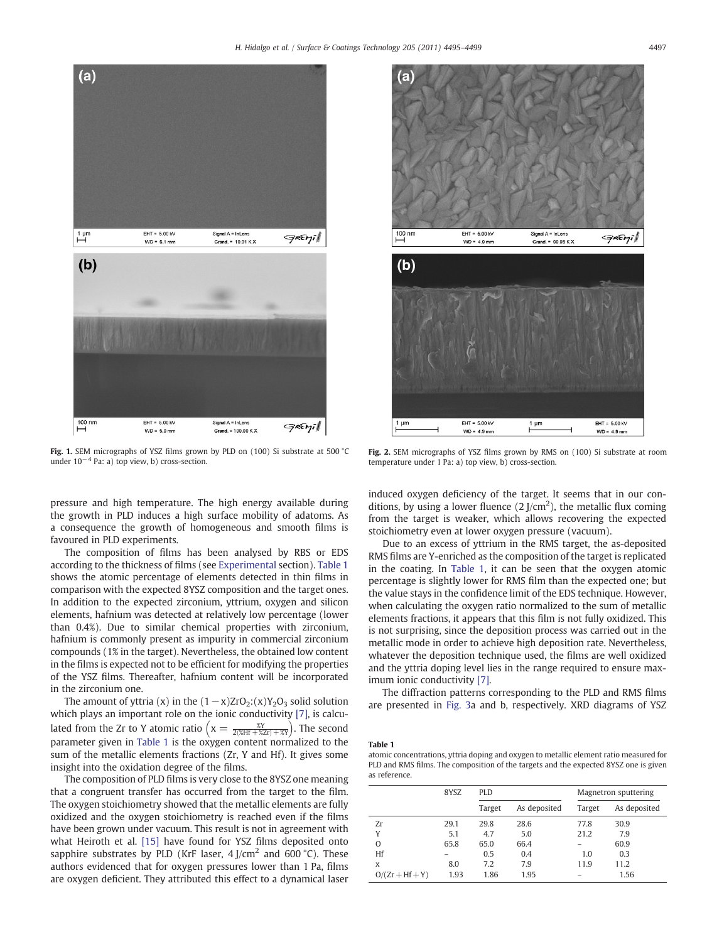<span id="page-2-0"></span>

Fig. 1. SEM micrographs of YSZ films grown by PLD on (100) Si substrate at 500 °C under  $10^{-4}$  Pa: a) top view, b) cross-section.

pressure and high temperature. The high energy available during the growth in PLD induces a high surface mobility of adatoms. As a consequence the growth of homogeneous and smooth films is favoured in PLD experiments.

The composition of films has been analysed by RBS or EDS according to the thickness of films (see [Experimental](#page-1-0) section). Table 1 shows the atomic percentage of elements detected in thin films in comparison with the expected 8YSZ composition and the target ones. In addition to the expected zirconium, yttrium, oxygen and silicon elements, hafnium was detected at relatively low percentage (lower than 0.4%). Due to similar chemical properties with zirconium, hafnium is commonly present as impurity in commercial zirconium compounds (1% in the target). Nevertheless, the obtained low content in the films is expected not to be efficient for modifying the properties of the YSZ films. Thereafter, hafnium content will be incorporated in the zirconium one.

The amount of yttria (x) in the  $(1-x)ZrO<sub>2</sub>: (x)Y<sub>2</sub>O<sub>3</sub>$  solid solution which plays an important role on the ionic conductivity [\[7\]](#page-4-0), is calculated from the Zr to Y atomic ratio  $\left(x = \frac{\mathcal{X}Y}{2(\mathcal{X}Hf + \mathcal{X}Zr) + \mathcal{X}Y}\right)$ . The second parameter given in Table 1 is the oxygen content normalized to the sum of the metallic elements fractions (Zr, Y and Hf). It gives some insight into the oxidation degree of the films.

The composition of PLD films is very close to the 8YSZ one meaning that a congruent transfer has occurred from the target to the film. The oxygen stoichiometry showed that the metallic elements are fully oxidized and the oxygen stoichiometry is reached even if the films have been grown under vacuum. This result is not in agreement with what Heiroth et al. [\[15\]](#page-4-0) have found for YSZ films deposited onto sapphire substrates by PLD (KrF laser,  $4$  J/cm<sup>2</sup> and 600 °C). These authors evidenced that for oxygen pressures lower than 1 Pa, films are oxygen deficient. They attributed this effect to a dynamical laser



Fig. 2. SEM micrographs of YSZ films grown by RMS on (100) Si substrate at room temperature under 1 Pa: a) top view, b) cross-section.

induced oxygen deficiency of the target. It seems that in our conditions, by using a lower fluence  $(2 J/cm<sup>2</sup>)$ , the metallic flux coming from the target is weaker, which allows recovering the expected stoichiometry even at lower oxygen pressure (vacuum).

Due to an excess of yttrium in the RMS target, the as-deposited RMS films are Y-enriched as the composition of the target is replicated in the coating. In Table 1, it can be seen that the oxygen atomic percentage is slightly lower for RMS film than the expected one; but the value stays in the confidence limit of the EDS technique. However, when calculating the oxygen ratio normalized to the sum of metallic elements fractions, it appears that this film is not fully oxidized. This is not surprising, since the deposition process was carried out in the metallic mode in order to achieve high deposition rate. Nevertheless, whatever the deposition technique used, the films are well oxidized and the yttria doping level lies in the range required to ensure maximum ionic conductivity [\[7\]](#page-4-0).

The diffraction patterns corresponding to the PLD and RMS films are presented in [Fig. 3a](#page-3-0) and b, respectively. XRD diagrams of YSZ

#### Table 1

atomic concentrations, yttria doping and oxygen to metallic element ratio measured for PLD and RMS films. The composition of the targets and the expected 8YSZ one is given as reference.

|                   | 8YSZ | <b>PLD</b> |              | Magnetron sputtering |              |  |
|-------------------|------|------------|--------------|----------------------|--------------|--|
|                   |      | Target     | As deposited | Target               | As deposited |  |
| Zr                | 29.1 | 29.8       | 28.6         | 77.8                 | 30.9         |  |
| Υ                 | 5.1  | 4.7        | 5.0          | 21.2                 | 7.9          |  |
| O                 | 65.8 | 65.0       | 66.4         |                      | 60.9         |  |
| Hf                |      | 0.5        | 0.4          | 1.0                  | 0.3          |  |
| X                 | 8.0  | 7.2        | 7.9          | 11.9                 | 11.2         |  |
| $O/(Zr + Hf + Y)$ | 1.93 | 1.86       | 1.95         |                      | 1.56         |  |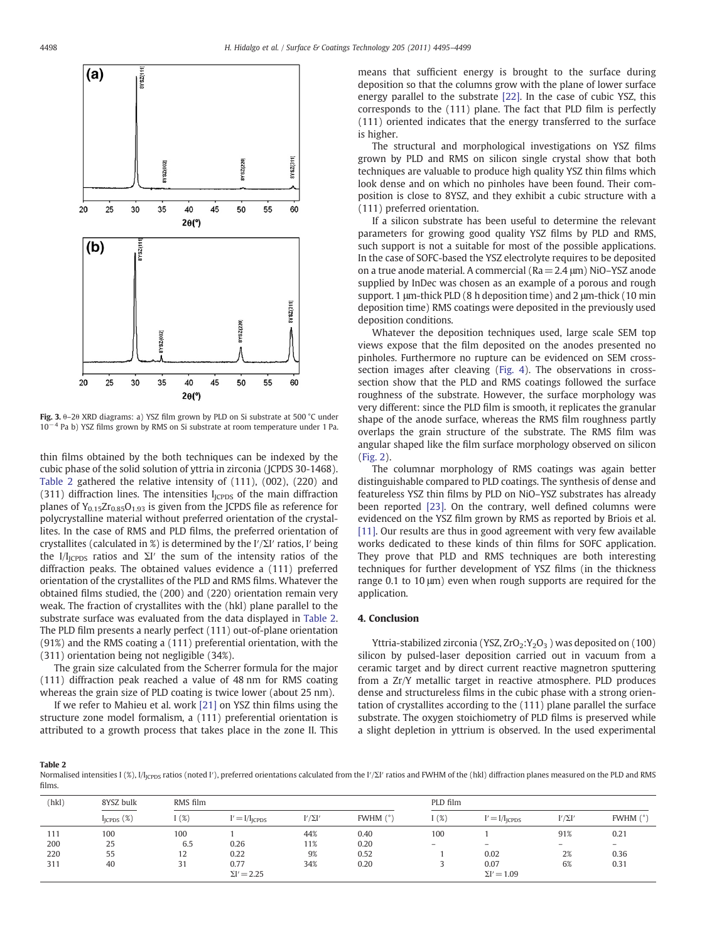<span id="page-3-0"></span>

Fig. 3. θ–2θ XRD diagrams: a) YSZ film grown by PLD on Si substrate at 500 °C under 10−<sup>4</sup> Pa b) YSZ films grown by RMS on Si substrate at room temperature under 1 Pa.

thin films obtained by the both techniques can be indexed by the cubic phase of the solid solution of yttria in zirconia (JCPDS 30-1468). Table 2 gathered the relative intensity of (111), (002), (220) and (311) diffraction lines. The intensities  $I<sub>ICPDS</sub>$  of the main diffraction planes of  $Y_{0.15}Zr_{0.85}O_{1.93}$  is given from the JCPDS file as reference for polycrystalline material without preferred orientation of the crystallites. In the case of RMS and PLD films, the preferred orientation of crystallites (calculated in %) is determined by the I′/ΣI′ ratios, I′ being the I/I<sub>JCPDS</sub> ratios and  $\Sigma$ I' the sum of the intensity ratios of the diffraction peaks. The obtained values evidence a (111) preferred orientation of the crystallites of the PLD and RMS films. Whatever the obtained films studied, the (200) and (220) orientation remain very weak. The fraction of crystallites with the (hkl) plane parallel to the substrate surface was evaluated from the data displayed in Table 2. The PLD film presents a nearly perfect (111) out-of-plane orientation (91%) and the RMS coating a (111) preferential orientation, with the (311) orientation being not negligible (34%).

The grain size calculated from the Scherrer formula for the major (111) diffraction peak reached a value of 48 nm for RMS coating whereas the grain size of PLD coating is twice lower (about 25 nm).

If we refer to Mahieu et al. work [\[21\]](#page-4-0) on YSZ thin films using the structure zone model formalism, a (111) preferential orientation is attributed to a growth process that takes place in the zone II. This means that sufficient energy is brought to the surface during deposition so that the columns grow with the plane of lower surface energy parallel to the substrate [\[22\]](#page-4-0). In the case of cubic YSZ, this corresponds to the (111) plane. The fact that PLD film is perfectly (111) oriented indicates that the energy transferred to the surface is higher.

The structural and morphological investigations on YSZ films grown by PLD and RMS on silicon single crystal show that both techniques are valuable to produce high quality YSZ thin films which look dense and on which no pinholes have been found. Their composition is close to 8YSZ, and they exhibit a cubic structure with a (111) preferred orientation.

If a silicon substrate has been useful to determine the relevant parameters for growing good quality YSZ films by PLD and RMS, such support is not a suitable for most of the possible applications. In the case of SOFC-based the YSZ electrolyte requires to be deposited on a true anode material. A commercial (Ra= 2.4 μm) NiO–YSZ anode supplied by InDec was chosen as an example of a porous and rough support. 1 μm-thick PLD (8 h deposition time) and 2 μm-thick (10 min deposition time) RMS coatings were deposited in the previously used deposition conditions.

Whatever the deposition techniques used, large scale SEM top views expose that the film deposited on the anodes presented no pinholes. Furthermore no rupture can be evidenced on SEM crosssection images after cleaving ([Fig. 4](#page-4-0)). The observations in crosssection show that the PLD and RMS coatings followed the surface roughness of the substrate. However, the surface morphology was very different: since the PLD film is smooth, it replicates the granular shape of the anode surface, whereas the RMS film roughness partly overlaps the grain structure of the substrate. The RMS film was angular shaped like the film surface morphology observed on silicon [\(Fig. 2\)](#page-2-0).

The columnar morphology of RMS coatings was again better distinguishable compared to PLD coatings. The synthesis of dense and featureless YSZ thin films by PLD on NiO–YSZ substrates has already been reported [\[23\]](#page-4-0). On the contrary, well defined columns were evidenced on the YSZ film grown by RMS as reported by Briois et al. [\[11\]](#page-4-0). Our results are thus in good agreement with very few available works dedicated to these kinds of thin films for SOFC application. They prove that PLD and RMS techniques are both interesting techniques for further development of YSZ films (in the thickness range 0.1 to 10 μm) even when rough supports are required for the application.

## 4. Conclusion

Yttria-stabilized zirconia (YSZ, ZrO<sub>2</sub>:Y<sub>2</sub>O<sub>3</sub>) was deposited on (100) silicon by pulsed-laser deposition carried out in vacuum from a ceramic target and by direct current reactive magnetron sputtering from a Zr/Y metallic target in reactive atmosphere. PLD produces dense and structureless films in the cubic phase with a strong orientation of crystallites according to the (111) plane parallel the surface substrate. The oxygen stoichiometry of PLD films is preserved while a slight depletion in yttrium is observed. In the used experimental

#### Table 2

Normalised intensities I (%), I/I<sub>JCPDS</sub> ratios (noted I'), preferred orientations calculated from the I'/ΣI' ratios and FWHM of the (hkl) diffraction planes measured on the PLD and RMS films.

| (hkl) | 8YSZ bulk       | RMS film |                    |                |            | PLD film          |                    |                   |            |
|-------|-----------------|----------|--------------------|----------------|------------|-------------------|--------------------|-------------------|------------|
|       | $I_{ICPDS}$ (%) | 1(%)     | $U = I/IICPDS$     | $I'/\Sigma I'$ | FWHM $(°)$ | 1(%)              | $I' = I/IICPDS$    | $I'/\Sigma I'$    | FWHM $(°)$ |
| 111   | 100             | 100      |                    | 44%            | 0.40       | 100               |                    | 91%               | 0.21       |
| 200   | 25              | 6.5      | 0.26               | 11%            | 0.20       | $\qquad \qquad -$ | $-$                | $\qquad \qquad -$ | $-$        |
| 220   | 55              | 12       | 0.22               | 9%             | 0.52       |                   | 0.02               | 2%                | 0.36       |
| 311   | 40              | 31       | 0.77               | 34%            | 0.20       |                   | 0.07               | 6%                | 0.31       |
|       |                 |          | $\Sigma I' = 2.25$ |                |            |                   | $\Sigma I' = 1.09$ |                   |            |